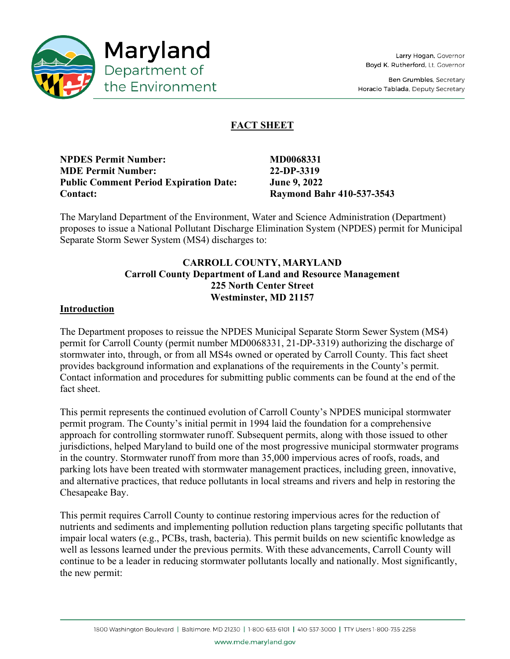

Ben Grumbles, Secretary Horacio Tablada, Deputy Secretary

# **FACT SHEET**

| <b>NPDES Permit Number:</b><br><b>MDE Permit Number:</b><br><b>Public Comment Period Expiration Date:</b><br><b>Contact:</b> | .Iı |  |
|------------------------------------------------------------------------------------------------------------------------------|-----|--|
|                                                                                                                              |     |  |

**NPDES Permit Number: MD0068331 MDE Permit Number: 22-DP-3319 Public Comment Period Expiration Date: June 9, 2022 Contact: Raymond Bahr 410-537-3543**

The Maryland Department of the Environment, Water and Science Administration (Department) proposes to issue a National Pollutant Discharge Elimination System (NPDES) permit for Municipal Separate Storm Sewer System (MS4) discharges to:

## **CARROLL COUNTY, MARYLAND Carroll County Department of Land and Resource Management 225 North Center Street Westminster, MD 21157**

## **Introduction**

The Department proposes to reissue the NPDES Municipal Separate Storm Sewer System (MS4) permit for Carroll County (permit number MD0068331, 21-DP-3319) authorizing the discharge of stormwater into, through, or from all MS4s owned or operated by Carroll County. This fact sheet provides background information and explanations of the requirements in the County's permit. Contact information and procedures for submitting public comments can be found at the end of the fact sheet.

This permit represents the continued evolution of Carroll County's NPDES municipal stormwater permit program. The County's initial permit in 1994 laid the foundation for a comprehensive approach for controlling stormwater runoff. Subsequent permits, along with those issued to other jurisdictions, helped Maryland to build one of the most progressive municipal stormwater programs in the country. Stormwater runoff from more than 35,000 impervious acres of roofs, roads, and parking lots have been treated with stormwater management practices, including green, innovative, and alternative practices, that reduce pollutants in local streams and rivers and help in restoring the Chesapeake Bay.

This permit requires Carroll County to continue restoring impervious acres for the reduction of nutrients and sediments and implementing pollution reduction plans targeting specific pollutants that impair local waters (e.g., PCBs, trash, bacteria). This permit builds on new scientific knowledge as well as lessons learned under the previous permits. With these advancements, Carroll County will continue to be a leader in reducing stormwater pollutants locally and nationally. Most significantly, the new permit:

www.mde.maryland.gov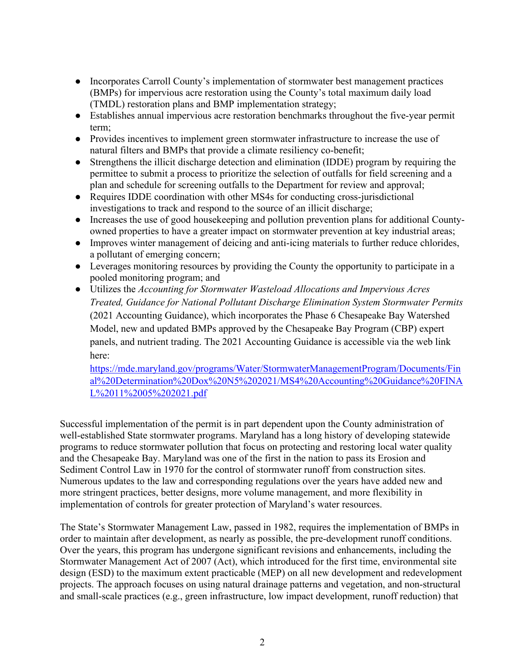- Incorporates Carroll County's implementation of stormwater best management practices (BMPs) for impervious acre restoration using the County's total maximum daily load (TMDL) restoration plans and BMP implementation strategy;
- Establishes annual impervious acre restoration benchmarks throughout the five-year permit term;
- Provides incentives to implement green stormwater infrastructure to increase the use of natural filters and BMPs that provide a climate resiliency co-benefit;
- Strengthens the illicit discharge detection and elimination (IDDE) program by requiring the permittee to submit a process to prioritize the selection of outfalls for field screening and a plan and schedule for screening outfalls to the Department for review and approval;
- Requires IDDE coordination with other MS4s for conducting cross-jurisdictional investigations to track and respond to the source of an illicit discharge;
- Increases the use of good housekeeping and pollution prevention plans for additional Countyowned properties to have a greater impact on stormwater prevention at key industrial areas;
- Improves winter management of deicing and anti-icing materials to further reduce chlorides, a pollutant of emerging concern;
- Leverages monitoring resources by providing the County the opportunity to participate in a pooled monitoring program; and
- Utilizes the *Accounting for Stormwater Wasteload Allocations and Impervious Acres Treated, Guidance for National Pollutant Discharge Elimination System Stormwater Permits* (2021 Accounting Guidance), which incorporates the Phase 6 Chesapeake Bay Watershed Model, new and updated BMPs approved by the Chesapeake Bay Program (CBP) expert panels, and nutrient trading. The 2021 Accounting Guidance is accessible via the web link here:

[https://mde.maryland.gov/programs/Water/StormwaterManagementProgram/Documents/Fin](https://mde.maryland.gov/programs/Water/StormwaterManagementProgram/Documents/Final%20Determination%20Dox%20N5%202021/MS4%20Accounting%20Guidance%20FINAL%2011%2005%202021.pdf) [al%20Determination%20Dox%20N5%202021/MS4%20Accounting%20Guidance%20FINA](https://mde.maryland.gov/programs/Water/StormwaterManagementProgram/Documents/Final%20Determination%20Dox%20N5%202021/MS4%20Accounting%20Guidance%20FINAL%2011%2005%202021.pdf) [L%2011%2005%202021.pdf](https://mde.maryland.gov/programs/Water/StormwaterManagementProgram/Documents/Final%20Determination%20Dox%20N5%202021/MS4%20Accounting%20Guidance%20FINAL%2011%2005%202021.pdf)

Successful implementation of the permit is in part dependent upon the County administration of well-established State stormwater programs. Maryland has a long history of developing statewide programs to reduce stormwater pollution that focus on protecting and restoring local water quality and the Chesapeake Bay. Maryland was one of the first in the nation to pass its Erosion and Sediment Control Law in 1970 for the control of stormwater runoff from construction sites. Numerous updates to the law and corresponding regulations over the years have added new and more stringent practices, better designs, more volume management, and more flexibility in implementation of controls for greater protection of Maryland's water resources.

The State's Stormwater Management Law, passed in 1982, requires the implementation of BMPs in order to maintain after development, as nearly as possible, the pre-development runoff conditions. Over the years, this program has undergone significant revisions and enhancements, including the Stormwater Management Act of 2007 (Act), which introduced for the first time, environmental site design (ESD) to the maximum extent practicable (MEP) on all new development and redevelopment projects. The approach focuses on using natural drainage patterns and vegetation, and non-structural and small-scale practices (e.g., green infrastructure, low impact development, runoff reduction) that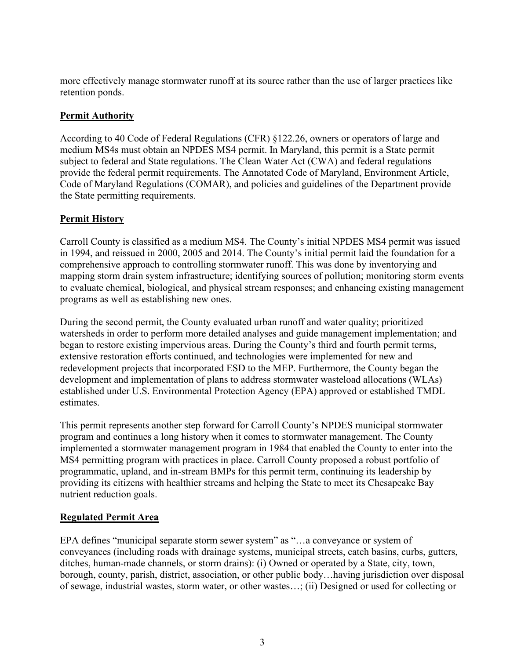more effectively manage stormwater runoff at its source rather than the use of larger practices like retention ponds.

## **Permit Authority**

According to 40 Code of Federal Regulations (CFR) §122.26, owners or operators of large and medium MS4s must obtain an NPDES MS4 permit. In Maryland, this permit is a State permit subject to federal and State regulations. The Clean Water Act (CWA) and federal regulations provide the federal permit requirements. The Annotated Code of Maryland, Environment Article, Code of Maryland Regulations (COMAR), and policies and guidelines of the Department provide the State permitting requirements.

## **Permit History**

Carroll County is classified as a medium MS4. The County's initial NPDES MS4 permit was issued in 1994, and reissued in 2000, 2005 and 2014. The County's initial permit laid the foundation for a comprehensive approach to controlling stormwater runoff. This was done by inventorying and mapping storm drain system infrastructure; identifying sources of pollution; monitoring storm events to evaluate chemical, biological, and physical stream responses; and enhancing existing management programs as well as establishing new ones.

During the second permit, the County evaluated urban runoff and water quality; prioritized watersheds in order to perform more detailed analyses and guide management implementation; and began to restore existing impervious areas. During the County's third and fourth permit terms, extensive restoration efforts continued, and technologies were implemented for new and redevelopment projects that incorporated ESD to the MEP. Furthermore, the County began the development and implementation of plans to address stormwater wasteload allocations (WLAs) established under U.S. Environmental Protection Agency (EPA) approved or established TMDL estimates.

This permit represents another step forward for Carroll County's NPDES municipal stormwater program and continues a long history when it comes to stormwater management. The County implemented a stormwater management program in 1984 that enabled the County to enter into the MS4 permitting program with practices in place. Carroll County proposed a robust portfolio of programmatic, upland, and in-stream BMPs for this permit term, continuing its leadership by providing its citizens with healthier streams and helping the State to meet its Chesapeake Bay nutrient reduction goals.

## **Regulated Permit Area**

EPA defines "municipal separate storm sewer system" as "…a conveyance or system of conveyances (including roads with drainage systems, municipal streets, catch basins, curbs, gutters, ditches, human-made channels, or storm drains): (i) Owned or operated by a State, city, town, borough, county, parish, district, association, or other public body…having jurisdiction over disposal of sewage, industrial wastes, storm water, or other wastes…; (ii) Designed or used for collecting or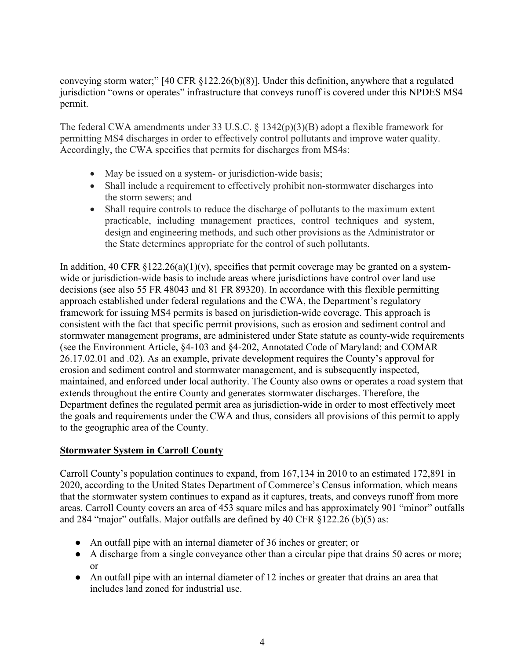conveying storm water;" [40 CFR §122.26(b)(8)]. Under this definition, anywhere that a regulated jurisdiction "owns or operates" infrastructure that conveys runoff is covered under this NPDES MS4 permit.

The federal CWA amendments under 33 U.S.C. § 1342(p)(3)(B) adopt a flexible framework for permitting MS4 discharges in order to effectively control pollutants and improve water quality. Accordingly, the CWA specifies that permits for discharges from MS4s:

- May be issued on a system- or jurisdiction-wide basis;
- Shall include a requirement to effectively prohibit non-stormwater discharges into the storm sewers; and
- Shall require controls to reduce the discharge of pollutants to the maximum extent practicable, including management practices, control techniques and system, design and engineering methods, and such other provisions as the Administrator or the State determines appropriate for the control of such pollutants.

In addition, 40 CFR  $\S 122.26(a)(1)(v)$ , specifies that permit coverage may be granted on a systemwide or jurisdiction-wide basis to include areas where jurisdictions have control over land use decisions (see also 55 FR 48043 and 81 FR 89320). In accordance with this flexible permitting approach established under federal regulations and the CWA, the Department's regulatory framework for issuing MS4 permits is based on jurisdiction-wide coverage. This approach is consistent with the fact that specific permit provisions, such as erosion and sediment control and stormwater management programs, are administered under State statute as county-wide requirements (see the Environment Article, §4-103 and §4-202, Annotated Code of Maryland; and COMAR 26.17.02.01 and .02). As an example, private development requires the County's approval for erosion and sediment control and stormwater management, and is subsequently inspected, maintained, and enforced under local authority. The County also owns or operates a road system that extends throughout the entire County and generates stormwater discharges. Therefore, the Department defines the regulated permit area as jurisdiction-wide in order to most effectively meet the goals and requirements under the CWA and thus, considers all provisions of this permit to apply to the geographic area of the County.

## **Stormwater System in Carroll County**

Carroll County's population continues to expand, from 167,134 in 2010 to an estimated 172,891 in 2020, according to the United States Department of Commerce's Census information, which means that the stormwater system continues to expand as it captures, treats, and conveys runoff from more areas. Carroll County covers an area of 453 square miles and has approximately 901 "minor" outfalls and 284 "major" outfalls. Major outfalls are defined by 40 CFR §122.26 (b)(5) as:

- An outfall pipe with an internal diameter of 36 inches or greater; or
- A discharge from a single conveyance other than a circular pipe that drains 50 acres or more; or
- An outfall pipe with an internal diameter of 12 inches or greater that drains an area that includes land zoned for industrial use.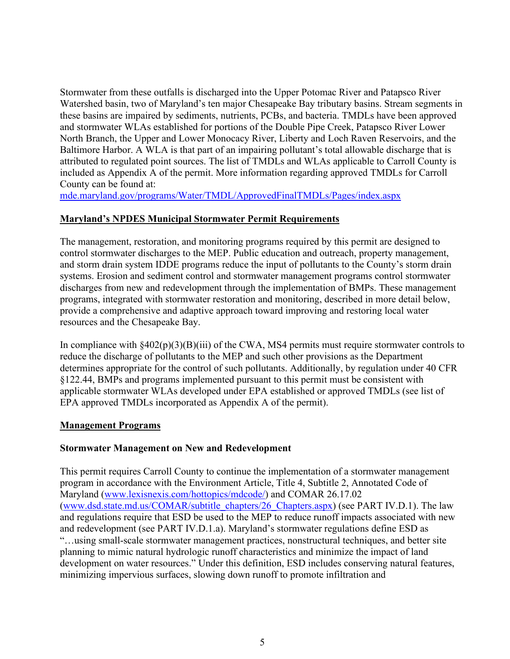Stormwater from these outfalls is discharged into the Upper Potomac River and Patapsco River Watershed basin, two of Maryland's ten major Chesapeake Bay tributary basins. Stream segments in these basins are impaired by sediments, nutrients, PCBs, and bacteria. TMDLs have been approved and stormwater WLAs established for portions of the Double Pipe Creek, Patapsco River Lower North Branch, the Upper and Lower Monocacy River, Liberty and Loch Raven Reservoirs, and the Baltimore Harbor. A WLA is that part of an impairing pollutant's total allowable discharge that is attributed to regulated point sources. The list of TMDLs and WLAs applicable to Carroll County is included as Appendix A of the permit. More information regarding approved TMDLs for Carroll County can be found at:

<mde.maryland.gov/programs/Water/TMDL/ApprovedFinalTMDLs/Pages/index.aspx>

## **Maryland's NPDES Municipal Stormwater Permit Requirements**

The management, restoration, and monitoring programs required by this permit are designed to control stormwater discharges to the MEP. Public education and outreach, property management, and storm drain system IDDE programs reduce the input of pollutants to the County's storm drain systems. Erosion and sediment control and stormwater management programs control stormwater discharges from new and redevelopment through the implementation of BMPs. These management programs, integrated with stormwater restoration and monitoring, described in more detail below, provide a comprehensive and adaptive approach toward improving and restoring local water resources and the Chesapeake Bay.

In compliance with  $§402(p)(3)(B)(iii)$  of the CWA, MS4 permits must require stormwater controls to reduce the discharge of pollutants to the MEP and such other provisions as the Department determines appropriate for the control of such pollutants. Additionally, by regulation under 40 CFR §122.44, BMPs and programs implemented pursuant to this permit must be consistent with applicable stormwater WLAs developed under EPA established or approved TMDLs (see list of EPA approved TMDLs incorporated as Appendix A of the permit).

## **Management Programs**

## **Stormwater Management on New and Redevelopment**

This permit requires Carroll County to continue the implementation of a stormwater management program in accordance with the Environment Article, Title 4, Subtitle 2, Annotated Code of Maryland [\(www.lexisnexis.com/hottopics/mdcode/\)](www.lexisnexis.com/hottopics/mdcode/) and COMAR 26.17.02 [\(www.dsd.state.md.us/COMAR/subtitle\\_chapters/26\\_Chapters.aspx\)](www.dsd.state.md.us/comar/subtitle_chapters/26_Chapters.aspx) (see PART IV.D.1). The law and regulations require that ESD be used to the MEP to reduce runoff impacts associated with new and redevelopment (see PART IV.D.1.a). Maryland's stormwater regulations define ESD as "…using small-scale stormwater management practices, nonstructural techniques, and better site planning to mimic natural hydrologic runoff characteristics and minimize the impact of land development on water resources." Under this definition, ESD includes conserving natural features, minimizing impervious surfaces, slowing down runoff to promote infiltration and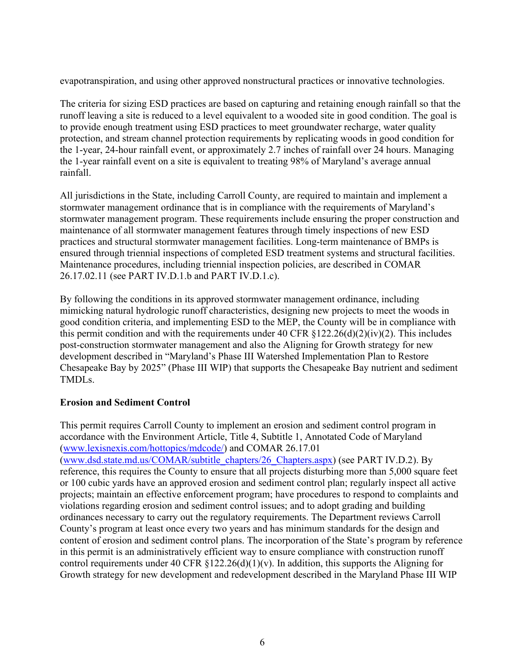evapotranspiration, and using other approved nonstructural practices or innovative technologies.

The criteria for sizing ESD practices are based on capturing and retaining enough rainfall so that the runoff leaving a site is reduced to a level equivalent to a wooded site in good condition. The goal is to provide enough treatment using ESD practices to meet groundwater recharge, water quality protection, and stream channel protection requirements by replicating woods in good condition for the 1-year, 24-hour rainfall event, or approximately 2.7 inches of rainfall over 24 hours. Managing the 1-year rainfall event on a site is equivalent to treating 98% of Maryland's average annual rainfall.

All jurisdictions in the State, including Carroll County, are required to maintain and implement a stormwater management ordinance that is in compliance with the requirements of Maryland's stormwater management program. These requirements include ensuring the proper construction and maintenance of all stormwater management features through timely inspections of new ESD practices and structural stormwater management facilities. Long-term maintenance of BMPs is ensured through triennial inspections of completed ESD treatment systems and structural facilities. Maintenance procedures, including triennial inspection policies, are described in COMAR 26.17.02.11 (see PART IV.D.1.b and PART IV.D.1.c).

By following the conditions in its approved stormwater management ordinance, including mimicking natural hydrologic runoff characteristics, designing new projects to meet the woods in good condition criteria, and implementing ESD to the MEP, the County will be in compliance with this permit condition and with the requirements under 40 CFR  $\S 122.26(d)(2)(iv)(2)$ . This includes post-construction stormwater management and also the Aligning for Growth strategy for new development described in "Maryland's Phase III Watershed Implementation Plan to Restore Chesapeake Bay by 2025" (Phase III WIP) that supports the Chesapeake Bay nutrient and sediment TMDLs.

## **Erosion and Sediment Control**

This permit requires Carroll County to implement an erosion and sediment control program in accordance with the Environment Article, Title 4, Subtitle 1, Annotated Code of Maryland [\(www.lexisnexis.com/hottopics/mdcode/\)](www.lexisnexis.com/hottopics/mdcode) and COMAR 26.17.01 [\(www.dsd.state.md.us/COMAR/subtitle\\_chapters/26\\_Chapters.aspx\)](www.dsd.state.md.us/comar/subtitle_chapters/26_Chapters.aspx) (see PART IV.D.2). By reference, this requires the County to ensure that all projects disturbing more than 5,000 square feet or 100 cubic yards have an approved erosion and sediment control plan; regularly inspect all active projects; maintain an effective enforcement program; have procedures to respond to complaints and violations regarding erosion and sediment control issues; and to adopt grading and building ordinances necessary to carry out the regulatory requirements. The Department reviews Carroll County's program at least once every two years and has minimum standards for the design and content of erosion and sediment control plans. The incorporation of the State's program by reference in this permit is an administratively efficient way to ensure compliance with construction runoff control requirements under 40 CFR  $\S 122.26(d)(1)(v)$ . In addition, this supports the Aligning for Growth strategy for new development and redevelopment described in the Maryland Phase III WIP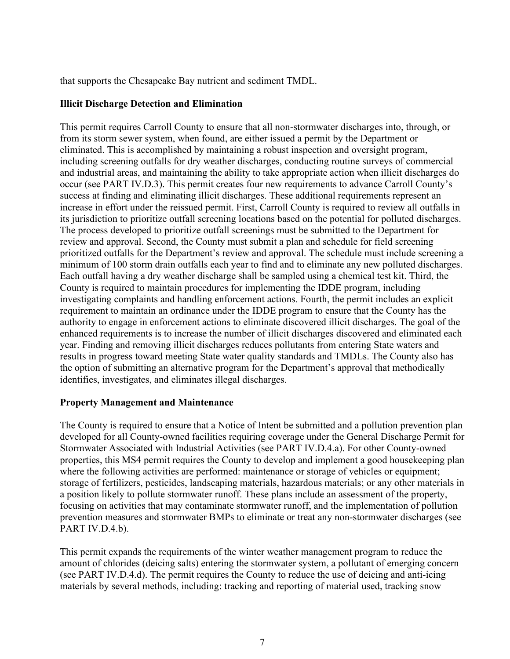that supports the Chesapeake Bay nutrient and sediment TMDL.

#### **Illicit Discharge Detection and Elimination**

This permit requires Carroll County to ensure that all non-stormwater discharges into, through, or from its storm sewer system, when found, are either issued a permit by the Department or eliminated. This is accomplished by maintaining a robust inspection and oversight program, including screening outfalls for dry weather discharges, conducting routine surveys of commercial and industrial areas, and maintaining the ability to take appropriate action when illicit discharges do occur (see PART IV.D.3). This permit creates four new requirements to advance Carroll County's success at finding and eliminating illicit discharges. These additional requirements represent an increase in effort under the reissued permit. First, Carroll County is required to review all outfalls in its jurisdiction to prioritize outfall screening locations based on the potential for polluted discharges. The process developed to prioritize outfall screenings must be submitted to the Department for review and approval. Second, the County must submit a plan and schedule for field screening prioritized outfalls for the Department's review and approval. The schedule must include screening a minimum of 100 storm drain outfalls each year to find and to eliminate any new polluted discharges. Each outfall having a dry weather discharge shall be sampled using a chemical test kit. Third, the County is required to maintain procedures for implementing the IDDE program, including investigating complaints and handling enforcement actions. Fourth, the permit includes an explicit requirement to maintain an ordinance under the IDDE program to ensure that the County has the authority to engage in enforcement actions to eliminate discovered illicit discharges. The goal of the enhanced requirements is to increase the number of illicit discharges discovered and eliminated each year. Finding and removing illicit discharges reduces pollutants from entering State waters and results in progress toward meeting State water quality standards and TMDLs. The County also has the option of submitting an alternative program for the Department's approval that methodically identifies, investigates, and eliminates illegal discharges.

#### **Property Management and Maintenance**

The County is required to ensure that a Notice of Intent be submitted and a pollution prevention plan developed for all County-owned facilities requiring coverage under the General Discharge Permit for Stormwater Associated with Industrial Activities (see PART IV.D.4.a). For other County-owned properties, this MS4 permit requires the County to develop and implement a good housekeeping plan where the following activities are performed: maintenance or storage of vehicles or equipment; storage of fertilizers, pesticides, landscaping materials, hazardous materials; or any other materials in a position likely to pollute stormwater runoff. These plans include an assessment of the property, focusing on activities that may contaminate stormwater runoff, and the implementation of pollution prevention measures and stormwater BMPs to eliminate or treat any non-stormwater discharges (see PART IV.D.4.b).

This permit expands the requirements of the winter weather management program to reduce the amount of chlorides (deicing salts) entering the stormwater system, a pollutant of emerging concern (see PART IV.D.4.d). The permit requires the County to reduce the use of deicing and anti-icing materials by several methods, including: tracking and reporting of material used, tracking snow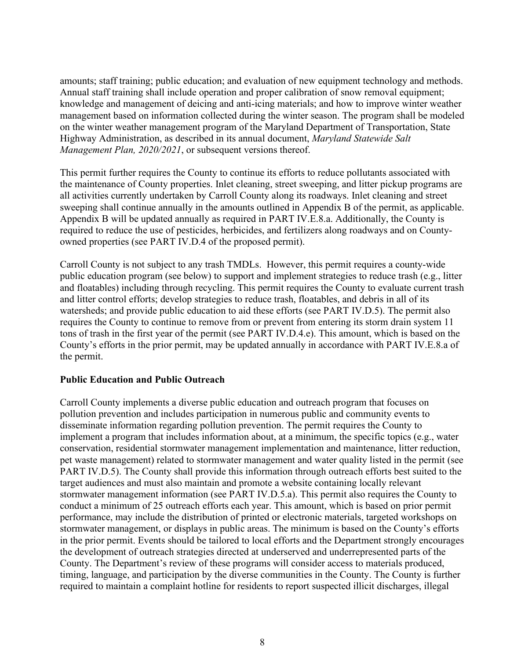amounts; staff training; public education; and evaluation of new equipment technology and methods. Annual staff training shall include operation and proper calibration of snow removal equipment; knowledge and management of deicing and anti-icing materials; and how to improve winter weather management based on information collected during the winter season. The program shall be modeled on the winter weather management program of the Maryland Department of Transportation, State Highway Administration, as described in its annual document, *Maryland Statewide Salt Management Plan, 2020/2021*, or subsequent versions thereof.

This permit further requires the County to continue its efforts to reduce pollutants associated with the maintenance of County properties. Inlet cleaning, street sweeping, and litter pickup programs are all activities currently undertaken by Carroll County along its roadways. Inlet cleaning and street sweeping shall continue annually in the amounts outlined in Appendix B of the permit, as applicable. Appendix B will be updated annually as required in PART IV.E.8.a. Additionally, the County is required to reduce the use of pesticides, herbicides, and fertilizers along roadways and on Countyowned properties (see PART IV.D.4 of the proposed permit).

Carroll County is not subject to any trash TMDLs. However, this permit requires a county-wide public education program (see below) to support and implement strategies to reduce trash (e.g., litter and floatables) including through recycling. This permit requires the County to evaluate current trash and litter control efforts; develop strategies to reduce trash, floatables, and debris in all of its watersheds; and provide public education to aid these efforts (see PART IV.D.5). The permit also requires the County to continue to remove from or prevent from entering its storm drain system 11 tons of trash in the first year of the permit (see PART IV.D.4.e). This amount, which is based on the County's efforts in the prior permit, may be updated annually in accordance with PART IV.E.8.a of the permit.

## **Public Education and Public Outreach**

Carroll County implements a diverse public education and outreach program that focuses on pollution prevention and includes participation in numerous public and community events to disseminate information regarding pollution prevention. The permit requires the County to implement a program that includes information about, at a minimum, the specific topics (e.g., water conservation, residential stormwater management implementation and maintenance, litter reduction, pet waste management) related to stormwater management and water quality listed in the permit (see PART IV.D.5). The County shall provide this information through outreach efforts best suited to the target audiences and must also maintain and promote a website containing locally relevant stormwater management information (see PART IV.D.5.a). This permit also requires the County to conduct a minimum of 25 outreach efforts each year. This amount, which is based on prior permit performance, may include the distribution of printed or electronic materials, targeted workshops on stormwater management, or displays in public areas. The minimum is based on the County's efforts in the prior permit. Events should be tailored to local efforts and the Department strongly encourages the development of outreach strategies directed at underserved and underrepresented parts of the County. The Department's review of these programs will consider access to materials produced, timing, language, and participation by the diverse communities in the County. The County is further required to maintain a complaint hotline for residents to report suspected illicit discharges, illegal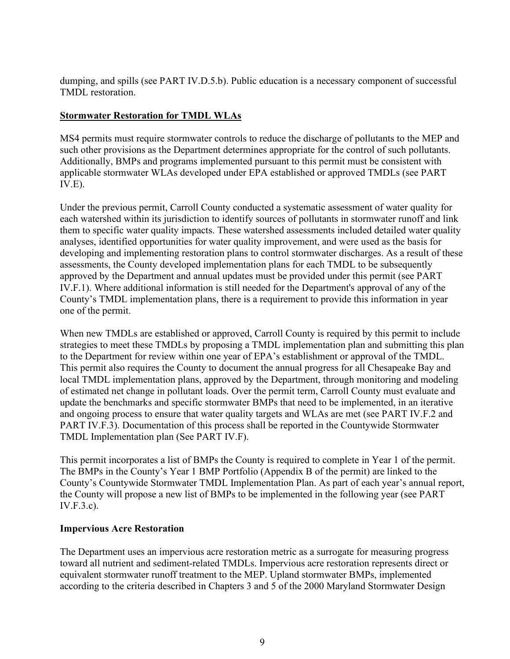dumping, and spills (see PART IV.D.5.b). Public education is a necessary component of successful TMDL restoration.

## **Stormwater Restoration for TMDL WLAs**

MS4 permits must require stormwater controls to reduce the discharge of pollutants to the MEP and such other provisions as the Department determines appropriate for the control of such pollutants. Additionally, BMPs and programs implemented pursuant to this permit must be consistent with applicable stormwater WLAs developed under EPA established or approved TMDLs (see PART IV.E).

Under the previous permit, Carroll County conducted a systematic assessment of water quality for each watershed within its jurisdiction to identify sources of pollutants in stormwater runoff and link them to specific water quality impacts. These watershed assessments included detailed water quality analyses, identified opportunities for water quality improvement, and were used as the basis for developing and implementing restoration plans to control stormwater discharges. As a result of these assessments, the County developed implementation plans for each TMDL to be subsequently approved by the Department and annual updates must be provided under this permit (see PART IV.F.1). Where additional information is still needed for the Department's approval of any of the County's TMDL implementation plans, there is a requirement to provide this information in year one of the permit.

When new TMDLs are established or approved, Carroll County is required by this permit to include strategies to meet these TMDLs by proposing a TMDL implementation plan and submitting this plan to the Department for review within one year of EPA's establishment or approval of the TMDL. This permit also requires the County to document the annual progress for all Chesapeake Bay and local TMDL implementation plans, approved by the Department, through monitoring and modeling of estimated net change in pollutant loads. Over the permit term, Carroll County must evaluate and update the benchmarks and specific stormwater BMPs that need to be implemented, in an iterative and ongoing process to ensure that water quality targets and WLAs are met (see PART IV.F.2 and PART IV.F.3). Documentation of this process shall be reported in the Countywide Stormwater TMDL Implementation plan (See PART IV.F).

This permit incorporates a list of BMPs the County is required to complete in Year 1 of the permit. The BMPs in the County's Year 1 BMP Portfolio (Appendix B of the permit) are linked to the County's Countywide Stormwater TMDL Implementation Plan. As part of each year's annual report, the County will propose a new list of BMPs to be implemented in the following year (see PART IV.F.3.c).

#### **Impervious Acre Restoration**

The Department uses an impervious acre restoration metric as a surrogate for measuring progress toward all nutrient and sediment-related TMDLs. Impervious acre restoration represents direct or equivalent stormwater runoff treatment to the MEP. Upland stormwater BMPs, implemented according to the criteria described in Chapters 3 and 5 of the 2000 Maryland Stormwater Design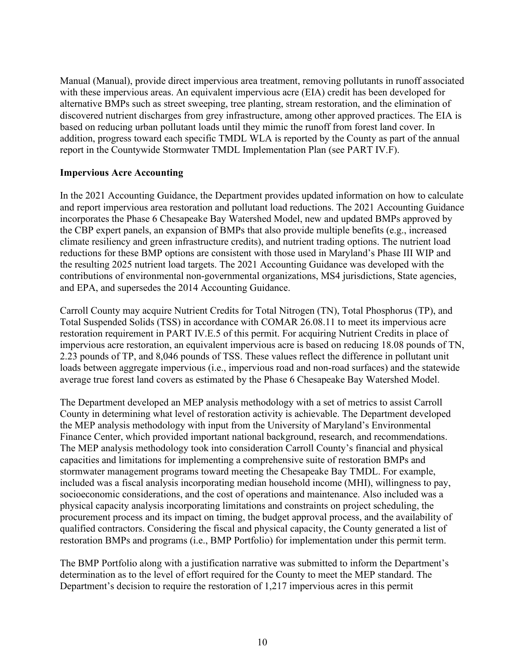Manual (Manual), provide direct impervious area treatment, removing pollutants in runoff associated with these impervious areas. An equivalent impervious acre (EIA) credit has been developed for alternative BMPs such as street sweeping, tree planting, stream restoration, and the elimination of discovered nutrient discharges from grey infrastructure, among other approved practices. The EIA is based on reducing urban pollutant loads until they mimic the runoff from forest land cover. In addition, progress toward each specific TMDL WLA is reported by the County as part of the annual report in the Countywide Stormwater TMDL Implementation Plan (see PART IV.F).

#### **Impervious Acre Accounting**

In the 2021 Accounting Guidance, the Department provides updated information on how to calculate and report impervious area restoration and pollutant load reductions. The 2021 Accounting Guidance incorporates the Phase 6 Chesapeake Bay Watershed Model, new and updated BMPs approved by the CBP expert panels, an expansion of BMPs that also provide multiple benefits (e.g., increased climate resiliency and green infrastructure credits), and nutrient trading options. The nutrient load reductions for these BMP options are consistent with those used in Maryland's Phase III WIP and the resulting 2025 nutrient load targets. The 2021 Accounting Guidance was developed with the contributions of environmental non-governmental organizations, MS4 jurisdictions, State agencies, and EPA, and supersedes the 2014 Accounting Guidance.

Carroll County may acquire Nutrient Credits for Total Nitrogen (TN), Total Phosphorus (TP), and Total Suspended Solids (TSS) in accordance with COMAR 26.08.11 to meet its impervious acre restoration requirement in PART IV.E.5 of this permit. For acquiring Nutrient Credits in place of impervious acre restoration, an equivalent impervious acre is based on reducing 18.08 pounds of TN, 2.23 pounds of TP, and 8,046 pounds of TSS. These values reflect the difference in pollutant unit loads between aggregate impervious (i.e., impervious road and non-road surfaces) and the statewide average true forest land covers as estimated by the Phase 6 Chesapeake Bay Watershed Model.

The Department developed an MEP analysis methodology with a set of metrics to assist Carroll County in determining what level of restoration activity is achievable. The Department developed the MEP analysis methodology with input from the University of Maryland's Environmental Finance Center, which provided important national background, research, and recommendations. The MEP analysis methodology took into consideration Carroll County's financial and physical capacities and limitations for implementing a comprehensive suite of restoration BMPs and stormwater management programs toward meeting the Chesapeake Bay TMDL. For example, included was a fiscal analysis incorporating median household income (MHI), willingness to pay, socioeconomic considerations, and the cost of operations and maintenance. Also included was a physical capacity analysis incorporating limitations and constraints on project scheduling, the procurement process and its impact on timing, the budget approval process, and the availability of qualified contractors. Considering the fiscal and physical capacity, the County generated a list of restoration BMPs and programs (i.e., BMP Portfolio) for implementation under this permit term.

The BMP Portfolio along with a justification narrative was submitted to inform the Department's determination as to the level of effort required for the County to meet the MEP standard. The Department's decision to require the restoration of 1,217 impervious acres in this permit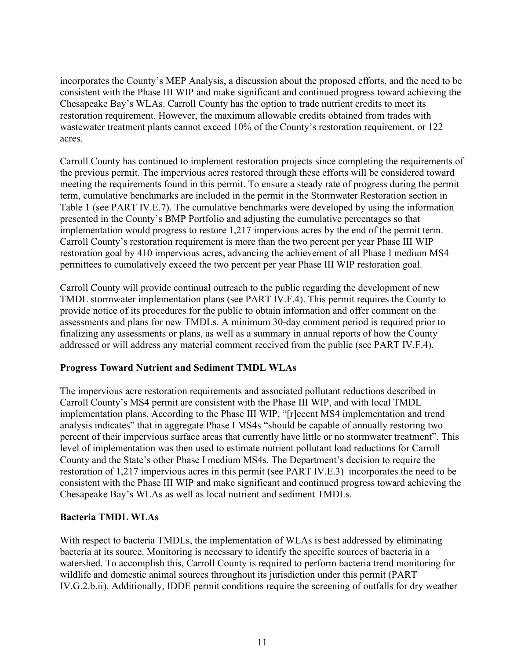incorporates the County's MEP Analysis, a discussion about the proposed efforts, and the need to be consistent with the Phase III WIP and make significant and continued progress toward achieving the Chesapeake Bay's WLAs. Carroll County has the option to trade nutrient credits to meet its restoration requirement. However, the maximum allowable credits obtained from trades with wastewater treatment plants cannot exceed 10% of the County's restoration requirement, or 122 acres.

Carroll County has continued to implement restoration projects since completing the requirements of the previous permit. The impervious acres restored through these efforts will be considered toward meeting the requirements found in this permit. To ensure a steady rate of progress during the permit term, cumulative benchmarks are included in the permit in the Stormwater Restoration section in Table 1 (see PART IV.E.7). The cumulative benchmarks were developed by using the information presented in the County's BMP Portfolio and adjusting the cumulative percentages so that implementation would progress to restore 1,217 impervious acres by the end of the permit term. Carroll County's restoration requirement is more than the two percent per year Phase III WIP restoration goal by 410 impervious acres, advancing the achievement of all Phase I medium MS4 permittees to cumulatively exceed the two percent per year Phase III WIP restoration goal.

Carroll County will provide continual outreach to the public regarding the development of new TMDL stormwater implementation plans (see PART IV.F.4). This permit requires the County to provide notice of its procedures for the public to obtain information and offer comment on the assessments and plans for new TMDLs. A minimum 30-day comment period is required prior to finalizing any assessments or plans, as well as a summary in annual reports of how the County addressed or will address any material comment received from the public (see PART IV.F.4).

## **Progress Toward Nutrient and Sediment TMDL WLAs**

The impervious acre restoration requirements and associated pollutant reductions described in Carroll County's MS4 permit are consistent with the Phase III WIP, and with local TMDL implementation plans. According to the Phase III WIP, "[r]ecent MS4 implementation and trend analysis indicates" that in aggregate Phase I MS4s "should be capable of annually restoring two percent of their impervious surface areas that currently have little or no stormwater treatment". This level of implementation was then used to estimate nutrient pollutant load reductions for Carroll County and the State's other Phase I medium MS4s. The Department's decision to require the restoration of 1,217 impervious acres in this permit (see PART IV.E.3) incorporates the need to be consistent with the Phase III WIP and make significant and continued progress toward achieving the Chesapeake Bay's WLAs as well as local nutrient and sediment TMDLs.

## **Bacteria TMDL WLAs**

With respect to bacteria TMDLs, the implementation of WLAs is best addressed by eliminating bacteria at its source. Monitoring is necessary to identify the specific sources of bacteria in a watershed. To accomplish this, Carroll County is required to perform bacteria trend monitoring for wildlife and domestic animal sources throughout its jurisdiction under this permit (PART IV.G.2.b.ii). Additionally, IDDE permit conditions require the screening of outfalls for dry weather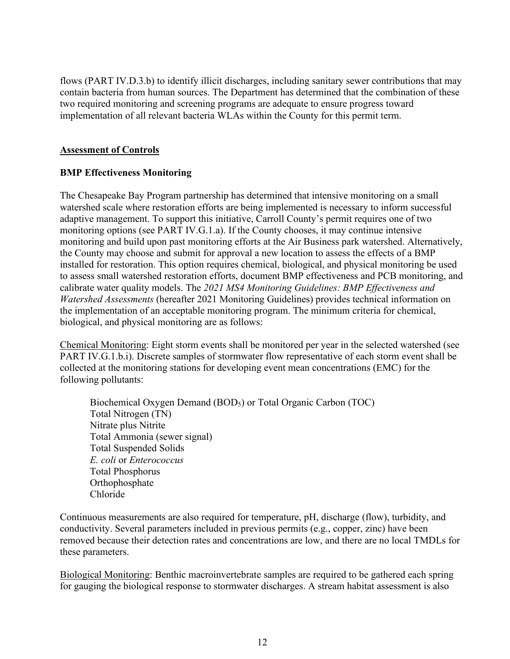flows (PART IV.D.3.b) to identify illicit discharges, including sanitary sewer contributions that may contain bacteria from human sources. The Department has determined that the combination of these two required monitoring and screening programs are adequate to ensure progress toward implementation of all relevant bacteria WLAs within the County for this permit term.

#### **Assessment of Controls**

## **BMP Effectiveness Monitoring**

The Chesapeake Bay Program partnership has determined that intensive monitoring on a small watershed scale where restoration efforts are being implemented is necessary to inform successful adaptive management. To support this initiative, Carroll County's permit requires one of two monitoring options (see PART IV.G.1.a). If the County chooses, it may continue intensive monitoring and build upon past monitoring efforts at the Air Business park watershed. Alternatively, the County may choose and submit for approval a new location to assess the effects of a BMP installed for restoration. This option requires chemical, biological, and physical monitoring be used to assess small watershed restoration efforts, document BMP effectiveness and PCB monitoring, and calibrate water quality models. The *2021 MS4 Monitoring Guidelines: BMP Effectiveness and Watershed Assessments* (hereafter 2021 Monitoring Guidelines) provides technical information on the implementation of an acceptable monitoring program. The minimum criteria for chemical, biological, and physical monitoring are as follows:

Chemical Monitoring: Eight storm events shall be monitored per year in the selected watershed (see PART IV.G.1.b.i). Discrete samples of stormwater flow representative of each storm event shall be collected at the monitoring stations for developing event mean concentrations (EMC) for the following pollutants:

Biochemical Oxygen Demand (BOD5) or Total Organic Carbon (TOC) Total Nitrogen (TN) Nitrate plus Nitrite Total Ammonia (sewer signal) Total Suspended Solids *E. coli* or *Enterococcus* Total Phosphorus **Orthophosphate** Chloride

Continuous measurements are also required for temperature, pH, discharge (flow), turbidity, and conductivity. Several parameters included in previous permits (e.g., copper, zinc) have been removed because their detection rates and concentrations are low, and there are no local TMDLs for these parameters.

Biological Monitoring: Benthic macroinvertebrate samples are required to be gathered each spring for gauging the biological response to stormwater discharges. A stream habitat assessment is also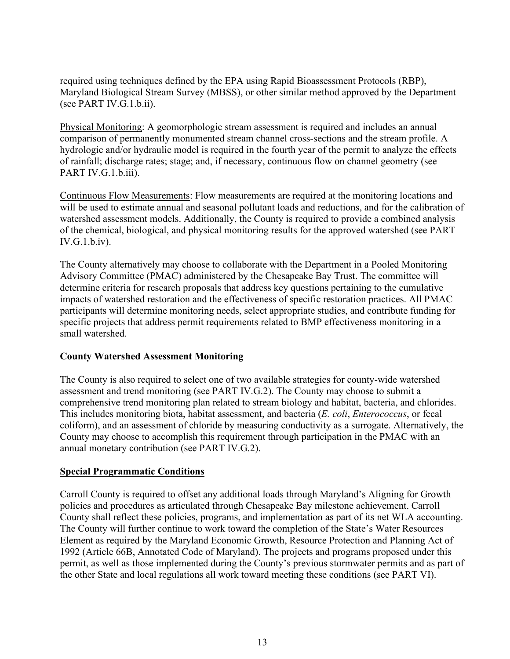required using techniques defined by the EPA using Rapid Bioassessment Protocols (RBP), Maryland Biological Stream Survey (MBSS), or other similar method approved by the Department (see PART IV.G.1.b.ii).

Physical Monitoring: A geomorphologic stream assessment is required and includes an annual comparison of permanently monumented stream channel cross-sections and the stream profile. A hydrologic and/or hydraulic model is required in the fourth year of the permit to analyze the effects of rainfall; discharge rates; stage; and, if necessary, continuous flow on channel geometry (see PART IV.G.1.b.iii).

Continuous Flow Measurements: Flow measurements are required at the monitoring locations and will be used to estimate annual and seasonal pollutant loads and reductions, and for the calibration of watershed assessment models. Additionally, the County is required to provide a combined analysis of the chemical, biological, and physical monitoring results for the approved watershed (see PART IV.G.1.b.iv).

The County alternatively may choose to collaborate with the Department in a Pooled Monitoring Advisory Committee (PMAC) administered by the Chesapeake Bay Trust. The committee will determine criteria for research proposals that address key questions pertaining to the cumulative impacts of watershed restoration and the effectiveness of specific restoration practices. All PMAC participants will determine monitoring needs, select appropriate studies, and contribute funding for specific projects that address permit requirements related to BMP effectiveness monitoring in a small watershed.

## **County Watershed Assessment Monitoring**

The County is also required to select one of two available strategies for county-wide watershed assessment and trend monitoring (see PART IV.G.2). The County may choose to submit a comprehensive trend monitoring plan related to stream biology and habitat, bacteria, and chlorides. This includes monitoring biota, habitat assessment, and bacteria (*E. coli*, *Enterococcus*, or fecal coliform), and an assessment of chloride by measuring conductivity as a surrogate. Alternatively, the County may choose to accomplish this requirement through participation in the PMAC with an annual monetary contribution (see PART IV.G.2).

#### **Special Programmatic Conditions**

Carroll County is required to offset any additional loads through Maryland's Aligning for Growth policies and procedures as articulated through Chesapeake Bay milestone achievement. Carroll County shall reflect these policies, programs, and implementation as part of its net WLA accounting. The County will further continue to work toward the completion of the State's Water Resources Element as required by the Maryland Economic Growth, Resource Protection and Planning Act of 1992 (Article 66B, Annotated Code of Maryland). The projects and programs proposed under this permit, as well as those implemented during the County's previous stormwater permits and as part of the other State and local regulations all work toward meeting these conditions (see PART VI).